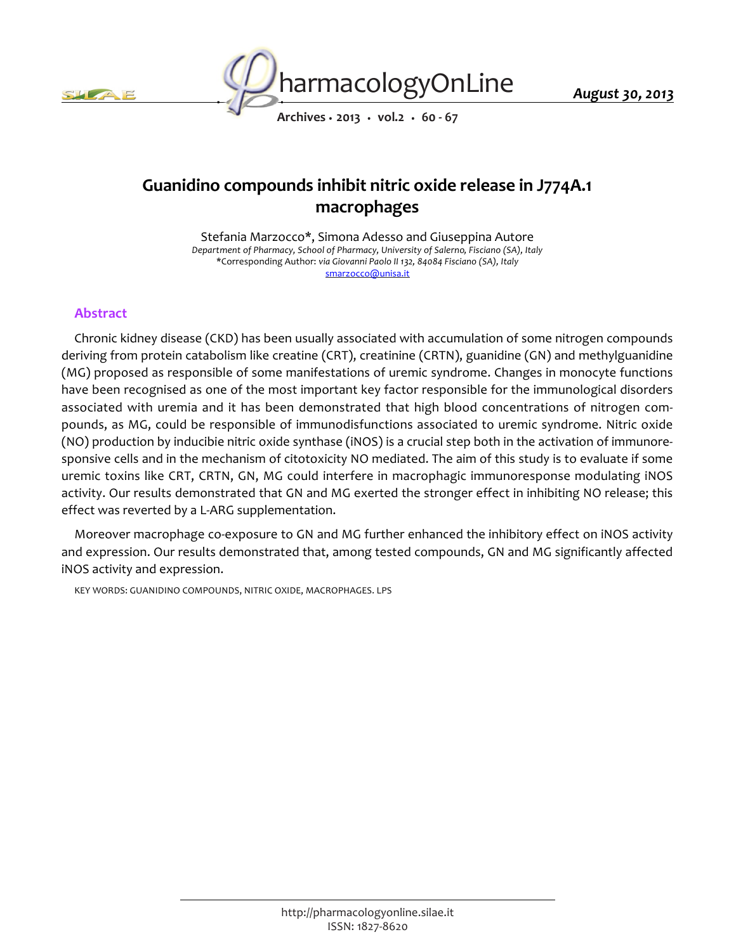



*August 30, 2013*

*Archives • 2013 • vol.2 • 60 - 67*

# *Guanidino compounds inhibit nitric oxide release in J774A.1 macrophages*

*Stefania Marzocco\*, Simona Adesso and Giuseppina Autore Department of Pharmacy, School of Pharmacy, University of Salerno, Fisciano (SA), Italy \*Corresponding Author: via Giovanni Paolo II 132, 84084 Fisciano (SA), Italy smarzocco@unisa.it*

## *Abstract*

*Chronic kidney disease (CKD) has been usually associated with accumulation of some nitrogen compounds deriving from protein catabolism like creatine (CRT), creatinine (CRTN), guanidine (GN) and methylguanidine (MG) proposed as responsible of some manifestations of uremic syndrome. Changes in monocyte functions have been recognised as one of the most important key factor responsible for the immunological disorders associated with uremia and it has been demonstrated that high blood concentrations of nitrogen compounds, as MG, could be responsible of immunodisfunctions associated to uremic syndrome. Nitric oxide (NO) production by inducibie nitric oxide synthase (iNOS) is a crucial step both in the activation of immunoresponsive cells and in the mechanism of citotoxicity NO mediated. The aim of this study is to evaluate if some uremic toxins like CRT, CRTN, GN, MG could interfere in macrophagic immunoresponse modulating iNOS*  activity. Our results demonstrated that GN and MG exerted the stronger effect in inhibiting NO release; this *effect was reverted by a L-ARG supplementation.*

*Moreover macrophage co-exposure to GN and MG further enhanced the inhibitory effect on iNOS activity and expression. Our results demonstrated that, among tested compounds, GN and MG significantly affected iNOS activity and expression.*

*KEY WORDS: GUANIDINO COMPOUNDS, NITRIC OXIDE, MACROPHAGES. LPS*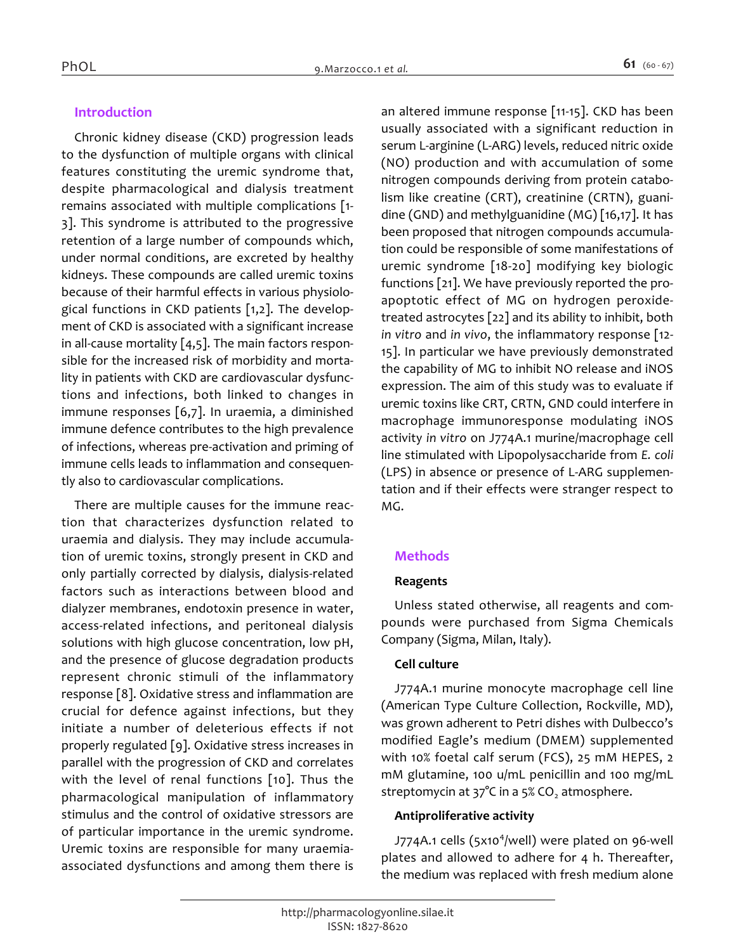# *Introduction*

*Chronic kidney disease (CKD) progression leads to the dysfunction of multiple organs with clinical features constituting the uremic syndrome that, despite pharmacological and dialysis treatment remains associated with multiple complications [1- 3]. This syndrome is attributed to the progressive retention of a large number of compounds which, under normal conditions, are excreted by healthy kidneys. These compounds are called uremic toxins because of their harmful effects in various physiological functions in CKD patients [1,2]. The development of CKD is associated with a significant increase in all-cause mortality [4,5]. The main factors responsible for the increased risk of morbidity and mortality in patients with CKD are cardiovascular dysfunctions and infections, both linked to changes in immune responses [6,7]. In uraemia, a diminished immune defence contributes to the high prevalence of infections, whereas pre-activation and priming of immune cells leads to inflammation and consequently also to cardiovascular complications.*

*There are multiple causes for the immune reaction that characterizes dysfunction related to uraemia and dialysis. They may include accumulation of uremic toxins, strongly present in CKD and only partially corrected by dialysis, dialysis-related factors such as interactions between blood and dialyzer membranes, endotoxin presence in water, access-related infections, and peritoneal dialysis solutions with high glucose concentration, low pH, and the presence of glucose degradation products represent chronic stimuli of the inflammatory response [8]. Oxidative stress and inflammation are crucial for defence against infections, but they initiate a number of deleterious effects if not properly regulated [9]. Oxidative stress increases in parallel with the progression of CKD and correlates with the level of renal functions [10]. Thus the pharmacological manipulation of inflammatory stimulus and the control of oxidative stressors are of particular importance in the uremic syndrome. Uremic toxins are responsible for many uraemiaassociated dysfunctions and among them there is*  *an altered immune response [11-15]. CKD has been usually associated with a significant reduction in serum L-arginine (L-ARG) levels, reduced nitric oxide (NO) production and with accumulation of some nitrogen compounds deriving from protein catabolism like creatine (CRT), creatinine (CRTN), guanidine (GND) and methylguanidine (MG) [16,17]. It has been proposed that nitrogen compounds accumulation could be responsible of some manifestations of uremic syndrome [18-20] modifying key biologic functions [21]. We have previously reported the proapoptotic effect of MG on hydrogen peroxidetreated astrocytes [22] and its ability to inhibit, both in vitro and in vivo, the inflammatory response [12- 15]. In particular we have previously demonstrated the capability of MG to inhibit NO release and iNOS expression. The aim of this study was to evaluate if uremic toxins like CRT, CRTN, GND could interfere in macrophage immunoresponse modulating iNOS activity in vitro on J774A.1 murine/macrophage cell line stimulated with Lipopolysaccharide from E. coli (LPS) in absence or presence of L-ARG supplementation and if their effects were stranger respect to MG.*

# *Methods*

## *Reagents*

*Unless stated otherwise, all reagents and compounds were purchased from Sigma Chemicals Company (Sigma, Milan, Italy).*

## *Cell culture*

*J774A.1 murine monocyte macrophage cell line (American Type Culture Collection, Rockville, MD), was grown adherent to Petri dishes with Dulbecco's modified Eagle's medium (DMEM) supplemented with 10% foetal calf serum (FCS), 25 mM HEPES, 2 mM glutamine, 100 u/mL penicillin and 100 mg/mL streptomycin at 37°C in a 5% CO<sup>2</sup> atmosphere.*

## *Antiproliferative activity*

*J774A.1 cells (5x10<sup>4</sup> /well) were plated on 96-well plates and allowed to adhere for 4 h. Thereafter, the medium was replaced with fresh medium alone*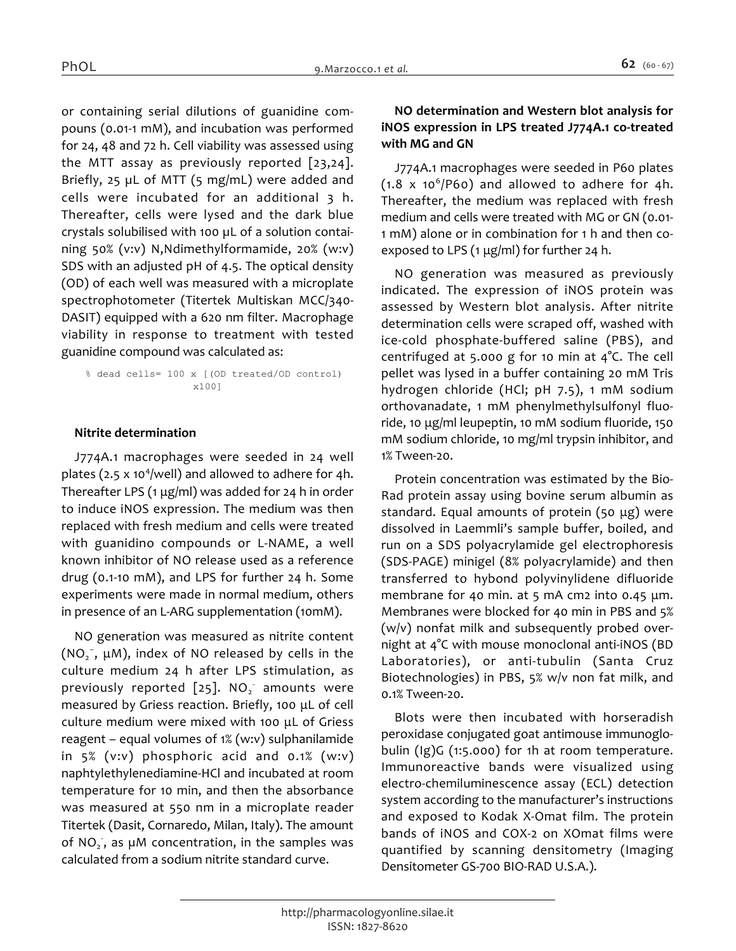*or containing serial dilutions of guanidine compouns (0.01-1 mM), and incubation was performed for 24, 48 and 72 h. Cell viability was assessed using the MTT assay as previously reported [23,24]. Briefly, 25 µL of MTT (5 mg/mL) were added and cells were incubated for an additional 3 h. Thereafter, cells were lysed and the dark blue crystals solubilised with 100 µL of a solution containing 50% (v:v) N,Ndimethylformamide, 20% (w:v) SDS with an adjusted pH of 4.5. The optical density (OD) of each well was measured with a microplate spectrophotometer (Titertek Multiskan MCC/340- DASIT) equipped with a 620 nm filter. Macrophage viability in response to treatment with tested guanidine compound was calculated as:*

*% dead cells= 100 x [(OD treated/OD control) x100]*

#### *Nitrite determination*

*J774A.1 macrophages were seeded in 24 well plates (2.5 x 10<sup>4</sup> /well) and allowed to adhere for 4h. Thereafter LPS (1 μg/ml) was added for 24 h in order to induce iNOS expression. The medium was then replaced with fresh medium and cells were treated with guanidino compounds or L-NAME, a well known inhibitor of NO release used as a reference drug (0.1-10 mM), and LPS for further 24 h. Some experiments were made in normal medium, others in presence of an L-ARG supplementation (10mM).*

*NO generation was measured as nitrite content (NO<sup>2</sup> − , μM), index of NO released by cells in the culture medium 24 h after LPS stimulation, as previously reported [25]. NO<sup>2</sup> - amounts were measured by Griess reaction. Briefly, 100 μL of cell culture medium were mixed with 100 μL of Griess reagent – equal volumes of 1% (w:v) sulphanilamide in 5% (v:v) phosphoric acid and 0.1% (w:v) naphtylethylenediamine-HCl and incubated at room temperature for 10 min, and then the absorbance was measured at 550 nm in a microplate reader Titertek (Dasit, Cornaredo, Milan, Italy). The amount of NO<sup>2</sup> - , as µM concentration, in the samples was calculated from a sodium nitrite standard curve.*

#### *NO determination and Western blot analysis for iNOS expression in LPS treated J774A.1 co-treated with MG and GN*

*J774A.1 macrophages were seeded in P60 plates (1.8 x 10<sup>6</sup> /P60) and allowed to adhere for 4h. Thereafter, the medium was replaced with fresh medium and cells were treated with MG or GN (0.01- 1 mM) alone or in combination for 1 h and then coexposed to LPS (1 μg/ml) for further 24 h.*

*NO generation was measured as previously indicated. The expression of iNOS protein was assessed by Western blot analysis. After nitrite determination cells were scraped off, washed with ice-cold phosphate-buffered saline (PBS), and centrifuged at 5.000 g for 10 min at 4°C. The cell pellet was lysed in a buffer containing 20 mM Tris hydrogen chloride (HCl; pH 7.5), 1 mM sodium orthovanadate, 1 mM phenylmethylsulfonyl fluoride, 10 μg/ml leupeptin, 10 mM sodium fluoride, 150 mM sodium chloride, 10 mg/ml trypsin inhibitor, and 1% Tween-20.*

*Protein concentration was estimated by the Bio-Rad protein assay using bovine serum albumin as standard. Equal amounts of protein (50 μg) were dissolved in Laemmli's sample buffer, boiled, and run on a SDS polyacrylamide gel electrophoresis (SDS-PAGE) minigel (8% polyacrylamide) and then transferred to hybond polyvinylidene difluoride membrane for 40 min. at 5 mA cm2 into 0.45 μm. Membranes were blocked for 40 min in PBS and 5% (w/v) nonfat milk and subsequently probed overnight at 4°C with mouse monoclonal anti-iNOS (BD Laboratories), or anti-tubulin (Santa Cruz Biotechnologies) in PBS, 5% w/v non fat milk, and 0.1% Tween-20.*

*Blots were then incubated with horseradish peroxidase conjugated goat antimouse immunoglobulin (Ig)G (1:5.000) for 1h at room temperature. Immunoreactive bands were visualized using electro-chemiluminescence assay (ECL) detection system according to the manufacturer's instructions and exposed to Kodak X-Omat film. The protein bands of iNOS and COX-2 on XOmat films were quantified by scanning densitometry (Imaging Densitometer GS-700 BIO-RAD U.S.A.).*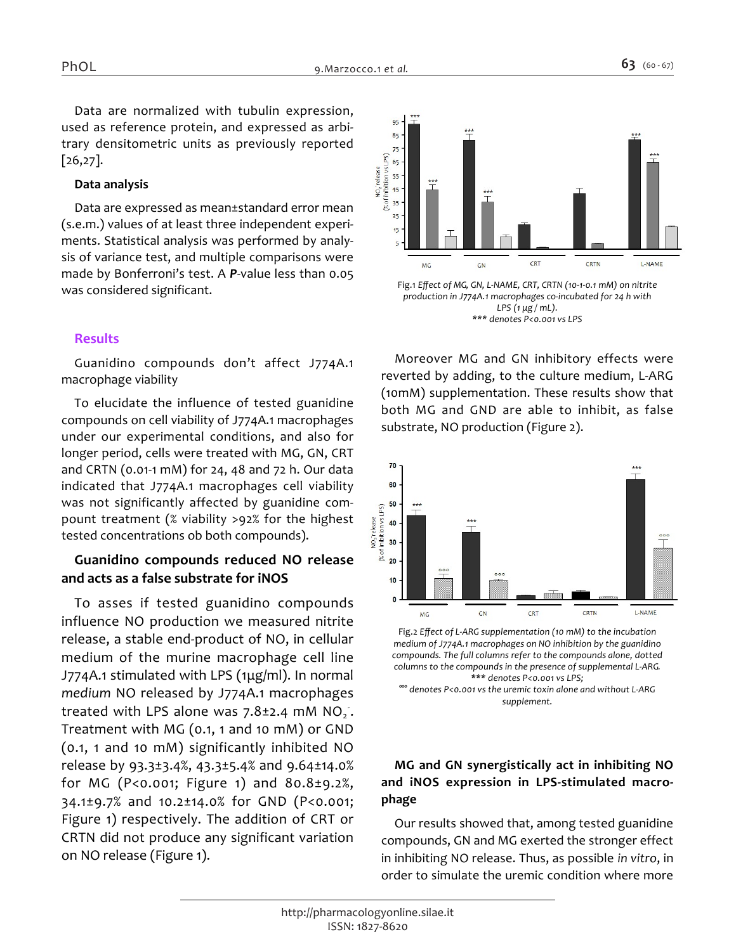*Data are normalized with tubulin expression, used as reference protein, and expressed as arbitrary densitometric units as previously reported [26,27].*

#### *Data analysis*

*Data are expressed as mean±standard error mean (s.e.m.) values of at least three independent experiments. Statistical analysis was performed by analysis of variance test, and multiple comparisons were made by Bonferroni's test. A P-value less than 0.05 was considered significant.*

## *Results*

*Guanidino compounds don't affect J774A.1 macrophage viability*

*To elucidate the influence of tested guanidine compounds on cell viability of J774A.1 macrophages under our experimental conditions, and also for longer period, cells were treated with MG, GN, CRT and CRTN (0.01-1 mM) for 24, 48 and 72 h. Our data indicated that J774A.1 macrophages cell viability was not significantly affected by guanidine compount treatment (% viability >92% for the highest tested concentrations ob both compounds).*

# *Guanidino compounds reduced NO release and acts as a false substrate for iNOS*

*To asses if tested guanidino compounds influence NO production we measured nitrite release, a stable end-product of NO, in cellular medium of the murine macrophage cell line J774A.1 stimulated with LPS (1μg/ml). In normal medium NO released by J774A.1 macrophages treated with LPS alone was 7.8±2.4 mM NO<sup>2</sup> - . Treatment with MG (0.1, 1 and 10 mM) or GND (0.1, 1 and 10 mM) significantly inhibited NO release by 93.3±3.4%, 43.3±5.4% and 9.64±14.0% for MG (P<0.001; Figure 1) and 80.8±9.2%, 34.1±9.7% and 10.2±14.0% for GND (P<0.001; Figure 1) respectively. The addition of CRT or CRTN did not produce any significant variation on NO release (Figure 1).*



*Moreover MG and GN inhibitory effects were reverted by adding, to the culture medium, L-ARG (10mM) supplementation. These results show that both MG and GND are able to inhibit, as false substrate, NO production (Figure 2).*



*Fig.2 Effect of L-ARG supplementation (10 mM) to the incubation medium of J774A.1 macrophages on NO inhibition by the guanidino compounds. The full columns refer to the compounds alone, dotted columns to the compounds in the presence of supplemental L-ARG. \*\*\* denotes P<0.001 vs LPS;*

*°°° denotes P<0.001 vs the uremic toxin alone and without L-ARG supplement.*

# *MG and GN synergistically act in inhibiting NO and iNOS expression in LPS-stimulated macrophage*

*Our results showed that, among tested guanidine compounds, GN and MG exerted the stronger effect in inhibiting NO release. Thus, as possible in vitro, in order to simulate the uremic condition where more*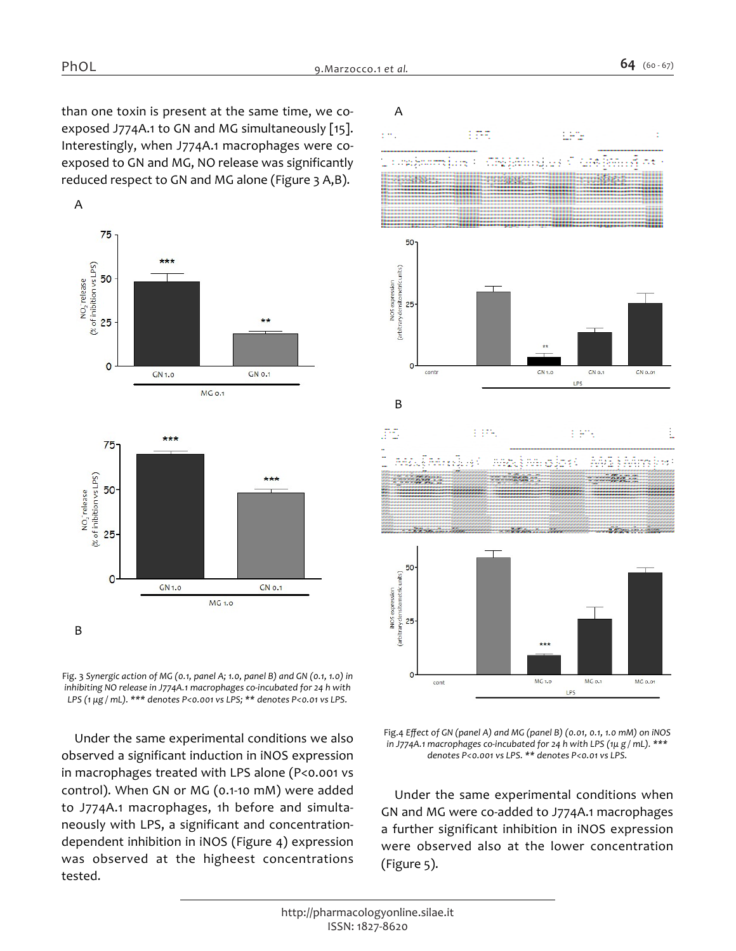*than one toxin is present at the same time, we coexposed J774A.1 to GN and MG simultaneously [15]. Interestingly, when J774A.1 macrophages were coexposed to GN and MG, NO release was significantly reduced respect to GN and MG alone (Figure 3 A,B).*



*Fig. 3 Synergic action of MG (0.1, panel A; 1.0, panel B) and GN (0.1, 1.0) in inhibiting NO release in J774A.1 macrophages co-incubated for 24 h with LPS (1 μg / mL). \*\*\* denotes P<0.001 vs LPS; \*\* denotes P<0.01 vs LPS.*

*Under the same experimental conditions we also observed a significant induction in iNOS expression in macrophages treated with LPS alone (P<0.001 vs control). When GN or MG (0.1-10 mM) were added to J774A.1 macrophages, 1h before and simultaneously with LPS, a significant and concentrationdependent inhibition in iNOS (Figure 4) expression was observed at the higheest concentrations tested.*





*Under the same experimental conditions when GN and MG were co-added to J774A.1 macrophages a further significant inhibition in iNOS expression were observed also at the lower concentration (Figure 5).*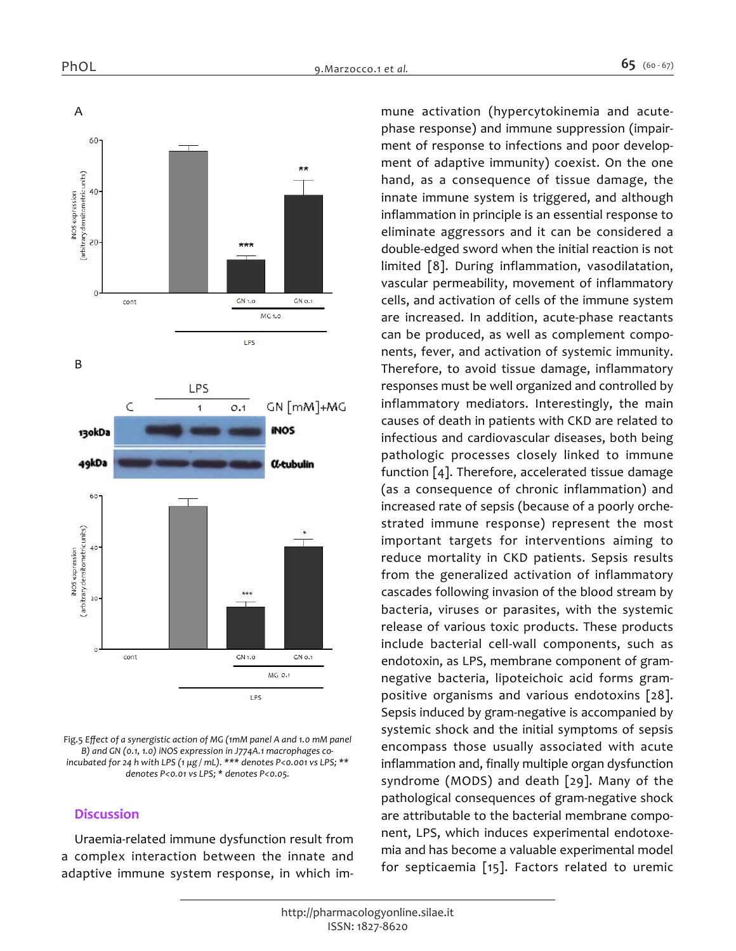

*Fig.5 Effect of a synergistic action of MG (1mM panel A and 1.0 mM panel B) and GN (0.1, 1.0) iNOS expression in J774A.1 macrophages coincubated for 24 h with LPS (1 μg / mL). \*\*\* denotes P<0.001 vs LPS; \*\* denotes P<0.01 vs LPS; \* denotes P<0.05.*

#### *Discussion*

*Uraemia-related immune dysfunction result from a complex interaction between the innate and adaptive immune system response, in which im-* *mune activation (hypercytokinemia and acutephase response) and immune suppression (impairment of response to infections and poor development of adaptive immunity) coexist. On the one hand, as a consequence of tissue damage, the innate immune system is triggered, and although inflammation in principle is an essential response to eliminate aggressors and it can be considered a double-edged sword when the initial reaction is not limited [8]. During inflammation, vasodilatation, vascular permeability, movement of inflammatory cells, and activation of cells of the immune system are increased. In addition, acute-phase reactants can be produced, as well as complement components, fever, and activation of systemic immunity. Therefore, to avoid tissue damage, inflammatory responses must be well organized and controlled by inflammatory mediators. Interestingly, the main causes of death in patients with CKD are related to infectious and cardiovascular diseases, both being pathologic processes closely linked to immune function [4]. Therefore, accelerated tissue damage (as a consequence of chronic inflammation) and increased rate of sepsis (because of a poorly orchestrated immune response) represent the most important targets for interventions aiming to reduce mortality in CKD patients. Sepsis results from the generalized activation of inflammatory cascades following invasion of the blood stream by bacteria, viruses or parasites, with the systemic release of various toxic products. These products include bacterial cell-wall components, such as endotoxin, as LPS, membrane component of gramnegative bacteria, lipoteichoic acid forms grampositive organisms and various endotoxins [28]. Sepsis induced by gram-negative is accompanied by systemic shock and the initial symptoms of sepsis encompass those usually associated with acute inflammation and, finally multiple organ dysfunction syndrome (MODS) and death [29]. Many of the pathological consequences of gram-negative shock are attributable to the bacterial membrane component, LPS, which induces experimental endotoxemia and has become a valuable experimental model for septicaemia [15]. Factors related to uremic*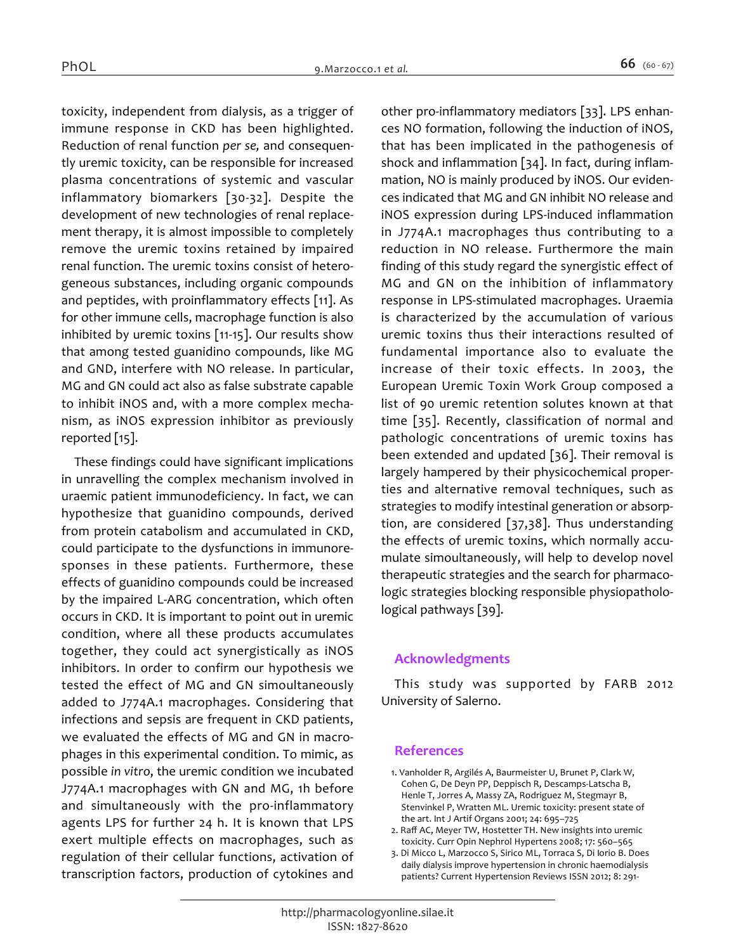*toxicity, independent from dialysis, as a trigger of immune response in CKD has been highlighted. Reduction of renal function per se, and consequently uremic toxicity, can be responsible for increased plasma concentrations of systemic and vascular inflammatory biomarkers [30-32]. Despite the development of new technologies of renal replacement therapy, it is almost impossible to completely remove the uremic toxins retained by impaired renal function. The uremic toxins consist of heterogeneous substances, including organic compounds and peptides, with proinflammatory effects [11]. As for other immune cells, macrophage function is also inhibited by uremic toxins [11-15]. Our results show that among tested guanidino compounds, like MG and GND, interfere with NO release. In particular, MG and GN could act also as false substrate capable to inhibit iNOS and, with a more complex mechanism, as iNOS expression inhibitor as previously reported [15].*

*These findings could have significant implications in unravelling the complex mechanism involved in uraemic patient immunodeficiency. In fact, we can hypothesize that guanidino compounds, derived from protein catabolism and accumulated in CKD, could participate to the dysfunctions in immunoresponses in these patients. Furthermore, these effects of guanidino compounds could be increased by the impaired L-ARG concentration, which often occurs in CKD. It is important to point out in uremic condition, where all these products accumulates together, they could act synergistically as iNOS inhibitors. In order to confirm our hypothesis we tested the effect of MG and GN simoultaneously added to J774A.1 macrophages. Considering that infections and sepsis are frequent in CKD patients, we evaluated the effects of MG and GN in macrophages in this experimental condition. To mimic, as possible in vitro, the uremic condition we incubated J774A.1 macrophages with GN and MG, 1h before and simultaneously with the pro-inflammatory agents LPS for further 24 h. It is known that LPS exert multiple effects on macrophages, such as regulation of their cellular functions, activation of transcription factors, production of cytokines and*  *other pro-inflammatory mediators [33]. LPS enhances NO formation, following the induction of iNOS, that has been implicated in the pathogenesis of shock and inflammation [34]. In fact, during inflammation, NO is mainly produced by iNOS. Our evidences indicated that MG and GN inhibit NO release and iNOS expression during LPS-induced inflammation in J774A.1 macrophages thus contributing to a reduction in NO release. Furthermore the main finding of this study regard the synergistic effect of MG and GN on the inhibition of inflammatory response in LPS-stimulated macrophages. Uraemia is characterized by the accumulation of various uremic toxins thus their interactions resulted of fundamental importance also to evaluate the increase of their toxic effects. In 2003, the European Uremic Toxin Work Group composed a list of 90 uremic retention solutes known at that time [35]. Recently, classification of normal and pathologic concentrations of uremic toxins has been extended and updated [36]. Their removal is largely hampered by their physicochemical properties and alternative removal techniques, such as strategies to modify intestinal generation or absorption, are considered [37,38]. Thus understanding the effects of uremic toxins, which normally accumulate simoultaneously, will help to develop novel therapeutic strategies and the search for pharmacologic strategies blocking responsible physiopatholological pathways [39].*

## *Acknowledgments*

*This study was supported by FARB 2012 University of Salerno.*

#### *References*

- *1. Vanholder R, Argilés A, Baurmeister U, Brunet P, Clark W, Cohen G, De Deyn PP, Deppisch R, Descamps-Latscha B, Henle T, Jorres A, Massy ZA, Rodriguez M, Stegmayr B, Stenvinkel P, Wratten ML. Uremic toxicity: present state of the art. Int J Artif Organs 2001; 24: 695–725*
- *2. Raff AC, Meyer TW, Hostetter TH. New insights into uremic toxicity. Curr Opin Nephrol Hypertens 2008; 17: 560–565*
- *3. Di Micco L, Marzocco S, Sirico ML, Torraca S, Di Iorio B. Does daily dialysis improve hypertension in chronic haemodialysis patients? Current Hypertension Reviews ISSN 2012; 8: 291-*